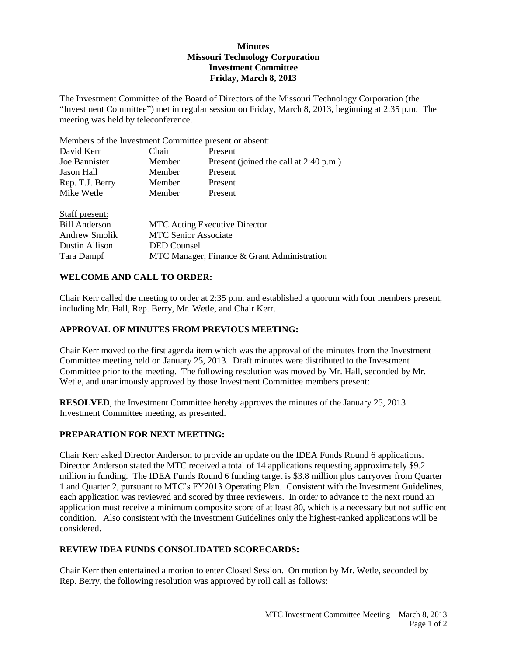## **Minutes Missouri Technology Corporation Investment Committee Friday, March 8, 2013**

The Investment Committee of the Board of Directors of the Missouri Technology Corporation (the "Investment Committee") met in regular session on Friday, March 8, 2013, beginning at 2:35 p.m. The meeting was held by teleconference.

Members of the Investment Committee present or absent:

| David Kerr           | Chair                                       | Present                                |  |
|----------------------|---------------------------------------------|----------------------------------------|--|
| Joe Bannister        | Member                                      | Present (joined the call at 2:40 p.m.) |  |
| Jason Hall           | Member                                      | Present                                |  |
| Rep. T.J. Berry      | Member                                      | Present                                |  |
| Mike Wetle           | Member                                      | Present                                |  |
| Staff present:       |                                             |                                        |  |
| <b>Bill Anderson</b> | <b>MTC</b> Acting Executive Director        |                                        |  |
| <b>Andrew Smolik</b> | <b>MTC Senior Associate</b>                 |                                        |  |
| Dustin Allison       | <b>DED</b> Counsel                          |                                        |  |
| Tara Dampf           | MTC Manager, Finance & Grant Administration |                                        |  |

## **WELCOME AND CALL TO ORDER:**

Chair Kerr called the meeting to order at 2:35 p.m. and established a quorum with four members present, including Mr. Hall, Rep. Berry, Mr. Wetle, and Chair Kerr.

## **APPROVAL OF MINUTES FROM PREVIOUS MEETING:**

Chair Kerr moved to the first agenda item which was the approval of the minutes from the Investment Committee meeting held on January 25, 2013. Draft minutes were distributed to the Investment Committee prior to the meeting. The following resolution was moved by Mr. Hall, seconded by Mr. Wetle, and unanimously approved by those Investment Committee members present:

**RESOLVED**, the Investment Committee hereby approves the minutes of the January 25, 2013 Investment Committee meeting, as presented.

## **PREPARATION FOR NEXT MEETING:**

Chair Kerr asked Director Anderson to provide an update on the IDEA Funds Round 6 applications. Director Anderson stated the MTC received a total of 14 applications requesting approximately \$9.2 million in funding. The IDEA Funds Round 6 funding target is \$3.8 million plus carryover from Quarter 1 and Quarter 2, pursuant to MTC's FY2013 Operating Plan. Consistent with the Investment Guidelines, each application was reviewed and scored by three reviewers. In order to advance to the next round an application must receive a minimum composite score of at least 80, which is a necessary but not sufficient condition. Also consistent with the Investment Guidelines only the highest-ranked applications will be considered.

## **REVIEW IDEA FUNDS CONSOLIDATED SCORECARDS:**

Chair Kerr then entertained a motion to enter Closed Session. On motion by Mr. Wetle, seconded by Rep. Berry, the following resolution was approved by roll call as follows: